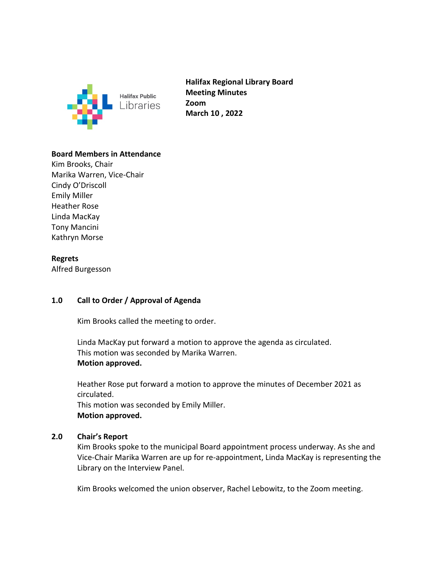

**Halifax Regional Library Board Meeting Minutes Zoom March 10 , 2022**

## **Board Members in Attendance**

Kim Brooks, Chair Marika Warren, Vice-Chair Cindy O'Driscoll Emily Miller Heather Rose Linda MacKay Tony Mancini Kathryn Morse

## **Regrets**

Alfred Burgesson

### **1.0 Call to Order / Approval of Agenda**

Kim Brooks called the meeting to order.

Linda MacKay put forward a motion to approve the agenda as circulated. This motion was seconded by Marika Warren. **Motion approved.** 

Heather Rose put forward a motion to approve the minutes of December 2021 as circulated.

This motion was seconded by Emily Miller. **Motion approved.** 

### **2.0 Chair's Report**

Kim Brooks spoke to the municipal Board appointment process underway. As she and Vice-Chair Marika Warren are up for re-appointment, Linda MacKay is representing the Library on the Interview Panel.

Kim Brooks welcomed the union observer, Rachel Lebowitz, to the Zoom meeting.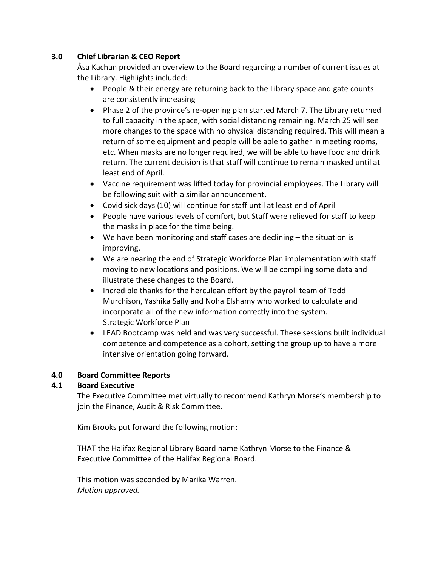# **3.0 Chief Librarian & CEO Report**

Åsa Kachan provided an overview to the Board regarding a number of current issues at the Library. Highlights included:

- People & their energy are returning back to the Library space and gate counts are consistently increasing
- Phase 2 of the province's re-opening plan started March 7. The Library returned to full capacity in the space, with social distancing remaining. March 25 will see more changes to the space with no physical distancing required. This will mean a return of some equipment and people will be able to gather in meeting rooms, etc. When masks are no longer required, we will be able to have food and drink return. The current decision is that staff will continue to remain masked until at least end of April.
- Vaccine requirement was lifted today for provincial employees. The Library will be following suit with a similar announcement.
- Covid sick days (10) will continue for staff until at least end of April
- People have various levels of comfort, but Staff were relieved for staff to keep the masks in place for the time being.
- We have been monitoring and staff cases are declining the situation is improving.
- We are nearing the end of Strategic Workforce Plan implementation with staff moving to new locations and positions. We will be compiling some data and illustrate these changes to the Board.
- Incredible thanks for the herculean effort by the payroll team of Todd Murchison, Yashika Sally and Noha Elshamy who worked to calculate and incorporate all of the new information correctly into the system. Strategic Workforce Plan
- LEAD Bootcamp was held and was very successful. These sessions built individual competence and competence as a cohort, setting the group up to have a more intensive orientation going forward.

# **4.0 Board Committee Reports**

# **4.1 Board Executive**

The Executive Committee met virtually to recommend Kathryn Morse's membership to join the Finance, Audit & Risk Committee.

Kim Brooks put forward the following motion:

THAT the Halifax Regional Library Board name Kathryn Morse to the Finance & Executive Committee of the Halifax Regional Board.

This motion was seconded by Marika Warren. *Motion approved.*